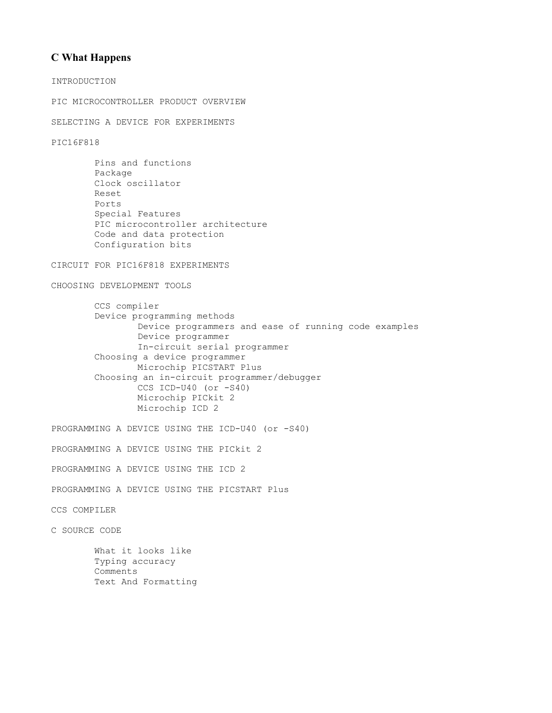# **C What Happens**

INTRODUCTION

PIC MICROCONTROLLER PRODUCT OVERVIEW

SELECTING A DEVICE FOR EXPERIMENTS

PIC16F818

```
 Pins and functions
 Package
 Clock oscillator
 Reset
 Ports
 Special Features
 PIC microcontroller architecture
 Code and data protection
 Configuration bits
```
## CIRCUIT FOR PIC16F818 EXPERIMENTS

CHOOSING DEVELOPMENT TOOLS

 CCS compiler Device programming methods Device programmers and ease of running code examples Device programmer In-circuit serial programmer Choosing a device programmer Microchip PICSTART Plus Choosing an in-circuit programmer/debugger CCS ICD-U40 (or -S40) Microchip PICkit 2 Microchip ICD 2

PROGRAMMING A DEVICE USING THE ICD-U40 (or -S40)

PROGRAMMING A DEVICE USING THE PICkit 2

PROGRAMMING A DEVICE USING THE ICD 2

PROGRAMMING A DEVICE USING THE PICSTART Plus

CCS COMPILER

C SOURCE CODE

 What it looks like Typing accuracy Comments Text And Formatting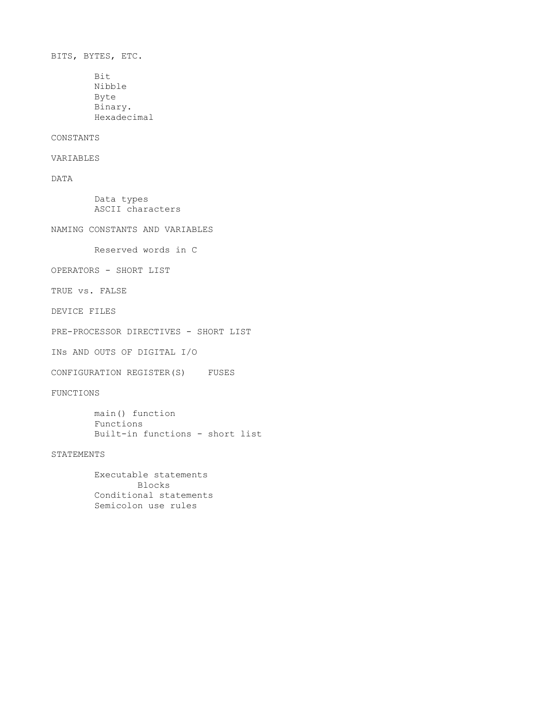BITS, BYTES, ETC. Bit Nibble Byte

Binary.

Hexadecimal

### CONSTANTS

VARIABLES

DATA

 Data types ASCII characters

NAMING CONSTANTS AND VARIABLES

Reserved words in C

OPERATORS - SHORT LIST

TRUE vs. FALSE

DEVICE FILES

PRE-PROCESSOR DIRECTIVES - SHORT LIST

INs AND OUTS OF DIGITAL I/O

CONFIGURATION REGISTER(S) FUSES

FUNCTIONS

 main() function Functions Built-in functions - short list

STATEMENTS

 Executable statements Blocks Conditional statements Semicolon use rules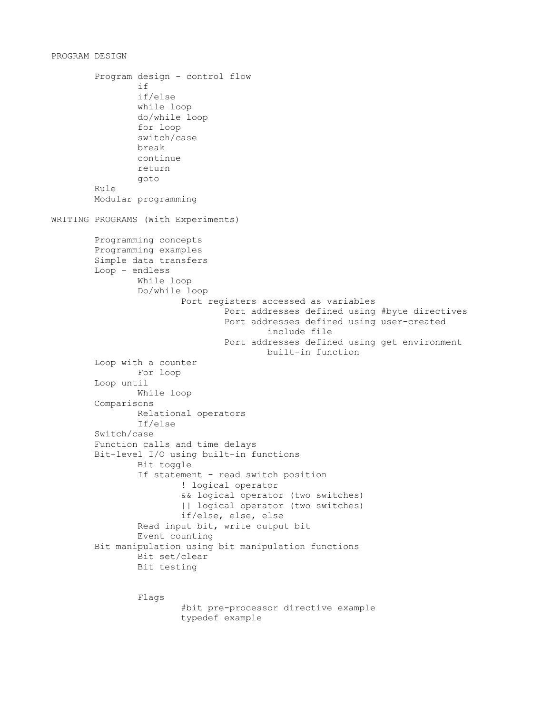```
PROGRAM DESIGN
         Program design - control flow
if and if \mathbf{i} if \mathbf{j} if/else
                  while loop
                  do/while loop
                  for loop
                  switch/case
                  break
                  continue
                  return
                  goto
         Rule
         Modular programming
WRITING PROGRAMS (With Experiments)
         Programming concepts
         Programming examples
         Simple data transfers
         Loop - endless
                  While loop
                  Do/while loop
                           Port registers accessed as variables
                                   Port addresses defined using #byte directives
                                   Port addresses defined using user-created
                                            include file
                                   Port addresses defined using get environment
                                           built-in function
         Loop with a counter
                 For loop
         Loop until
                  While loop
         Comparisons
                  Relational operators
                  If/else
         Switch/case
         Function calls and time delays
         Bit-level I/O using built-in functions
                  Bit toggle
                  If statement - read switch position
                          ! logical operator
                           && logical operator (two switches)
                          || logical operator (two switches)
                          if/else, else, else
                  Read input bit, write output bit
                  Event counting
         Bit manipulation using bit manipulation functions
                  Bit set/clear
                  Bit testing
                  Flags
                           #bit pre-processor directive example
```
typedef example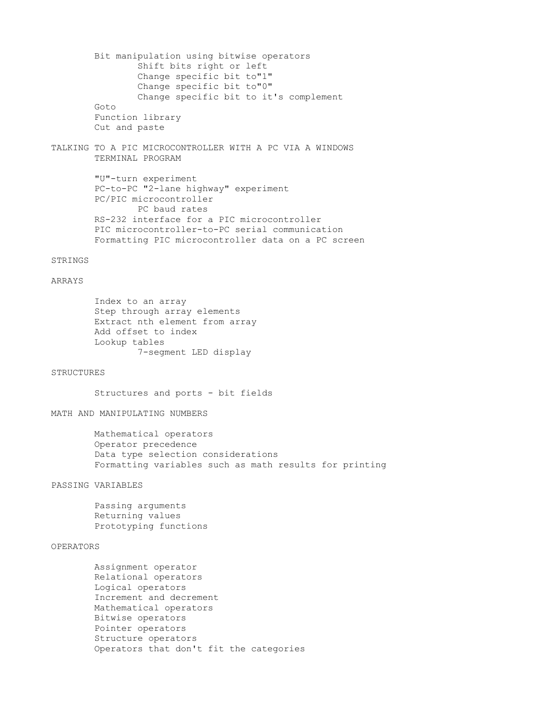Bit manipulation using bitwise operators Shift bits right or left Change specific bit to"1" Change specific bit to"0" Change specific bit to it's complement Goto Function library Cut and paste

TALKING TO A PIC MICROCONTROLLER WITH A PC VIA A WINDOWS TERMINAL PROGRAM

> "U"-turn experiment PC-to-PC "2-lane highway" experiment PC/PIC microcontroller PC baud rates RS-232 interface for a PIC microcontroller PIC microcontroller-to-PC serial communication Formatting PIC microcontroller data on a PC screen

### STRINGS

### ARRAYS

 Index to an array Step through array elements Extract nth element from array Add offset to index Lookup tables 7-segment LED display

#### **STRUCTURES**

Structures and ports - bit fields

#### MATH AND MANIPULATING NUMBERS

 Mathematical operators Operator precedence Data type selection considerations Formatting variables such as math results for printing

PASSING VARIABLES

 Passing arguments Returning values Prototyping functions

## OPERATORS

 Assignment operator Relational operators Logical operators Increment and decrement Mathematical operators Bitwise operators Pointer operators Structure operators Operators that don't fit the categories